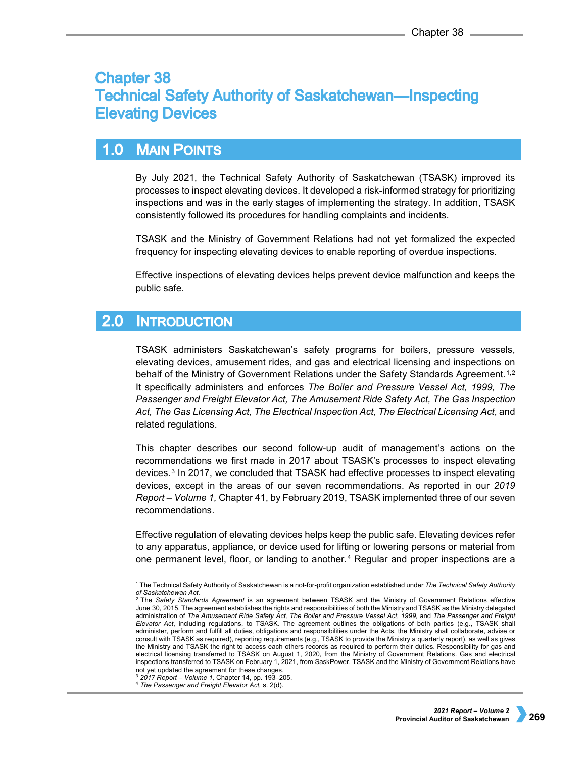# **Chapter 38 Technical Safety Authority of Saskatchewan—Inspecting Elevating Devices**

## **MAIN POINTS**  $1.0$

By July 2021, the Technical Safety Authority of Saskatchewan (TSASK) improved its processes to inspect elevating devices. It developed a risk-informed strategy for prioritizing inspections and was in the early stages of implementing the strategy. In addition, TSASK consistently followed its procedures for handling complaints and incidents.

TSASK and the Ministry of Government Relations had not yet formalized the expected frequency for inspecting elevating devices to enable reporting of overdue inspections.

Effective inspections of elevating devices helps prevent device malfunction and keeps the public safe.

### $2.0$ **INTRODUCTION**

TSASK administers Saskatchewan's safety programs for boilers, pressure vessels, elevating devices, amusement rides, and gas and electrical licensing and inspections on behalf of the Ministry of Government Relations under the Safety Standards Agreement.<sup>[1,](#page-0-0)[2](#page-0-1)</sup> It specifically administers and enforces *The Boiler and Pressure Vessel Act, 1999, The Passenger and Freight Elevator Act, The Amusement Ride Safety Act, The Gas Inspection Act, The Gas Licensing Act, The Electrical Inspection Act, The Electrical Licensing Act*, and related regulations.

This chapter describes our second follow-up audit of management's actions on the recommendations we first made in 2017 about TSASK's processes to inspect elevating devices.[3](#page-0-2) In 2017, we concluded that TSASK had effective processes to inspect elevating devices, except in the areas of our seven recommendations. As reported in our *2019 Report – Volume 1,* Chapter 41, by February 2019, TSASK implemented three of our seven recommendations.

Effective regulation of elevating devices helps keep the public safe. Elevating devices refer to any apparatus, appliance, or device used for lifting or lowering persons or material from one permanent level, floor, or landing to another.[4](#page-0-3) Regular and proper inspections are a

<span id="page-0-0"></span> <sup>1</sup> The Technical Safety Authority of Saskatchewan is a not-for-profit organization established under *The Technical Safety Authority of Saskatchewan Act.* <sup>2</sup> The *Safety Standards Agreement* is an agreement between TSASK and the Ministry of Government Relations effective

<span id="page-0-1"></span>June 30, 2015. The agreement establishes the rights and responsibilities of both the Ministry and TSASK as the Ministry delegated administration of *The Amusement Ride Safety Act, The Boiler and Pressure Vessel Act, 1999,* and *The Passenger and Freight Elevator Act*, including regulations, to TSASK. The agreement outlines the obligations of both parties (e.g., TSASK shall administer, perform and fulfill all duties, obligations and responsibilities under the Acts, the Ministry shall collaborate, advise or consult with TSASK as required), reporting requirements (e.g., TSASK to provide the Ministry a quarterly report), as well as gives the Ministry and TSASK the right to access each others records as required to perform their duties. Responsibility for gas and electrical licensing transferred to TSASK on August 1, 2020, from the Ministry of Government Relations. Gas and electrical inspections transferred to TSASK on February 1, 2021, from SaskPower. TSASK and the Ministry of Government Relations have not yet updated the agreement for these changes.

<sup>3</sup> *2017 Report – Volume 1,* Chapter 14, pp. 193–205.

<span id="page-0-3"></span><span id="page-0-2"></span><sup>4</sup> *The Passenger and Freight Elevator Act,* s. 2(d).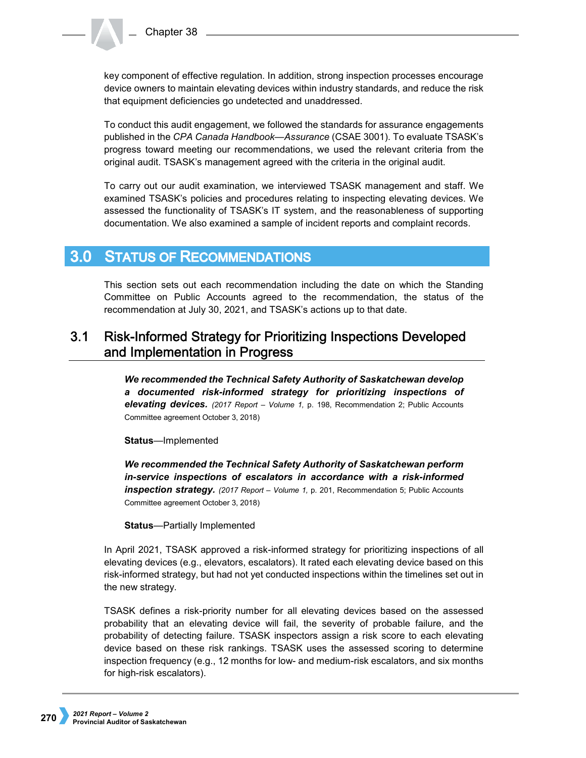key component of effective regulation. In addition, strong inspection processes encourage device owners to maintain elevating devices within industry standards, and reduce the risk that equipment deficiencies go undetected and unaddressed.

To conduct this audit engagement, we followed the standards for assurance engagements published in the *CPA Canada Handbook—Assurance* (CSAE 3001). To evaluate TSASK's progress toward meeting our recommendations, we used the relevant criteria from the original audit. TSASK's management agreed with the criteria in the original audit.

To carry out our audit examination, we interviewed TSASK management and staff. We examined TSASK's policies and procedures relating to inspecting elevating devices. We assessed the functionality of TSASK's IT system, and the reasonableness of supporting documentation. We also examined a sample of incident reports and complaint records.

#### **STATUS OF RECOMMENDATIONS**  $3.0<sub>1</sub>$

This section sets out each recommendation including the date on which the Standing Committee on Public Accounts agreed to the recommendation, the status of the recommendation at July 30, 2021, and TSASK's actions up to that date.

# $3.1$ **Risk-Informed Strategy for Prioritizing Inspections Developed** and Implementation in Progress

*We recommended the Technical Safety Authority of Saskatchewan develop a documented risk-informed strategy for prioritizing inspections of elevating devices. (2017 Report – Volume 1,* p. 198, Recommendation 2; Public Accounts Committee agreement October 3, 2018)

**Status**—Implemented

*We recommended the Technical Safety Authority of Saskatchewan perform in-service inspections of escalators in accordance with a risk-informed inspection strategy. (2017 Report – Volume 1,* p. 201, Recommendation 5; Public Accounts Committee agreement October 3, 2018)

**Status**—Partially Implemented

In April 2021, TSASK approved a risk-informed strategy for prioritizing inspections of all elevating devices (e.g., elevators, escalators). It rated each elevating device based on this risk-informed strategy, but had not yet conducted inspections within the timelines set out in the new strategy.

TSASK defines a risk-priority number for all elevating devices based on the assessed probability that an elevating device will fail, the severity of probable failure, and the probability of detecting failure. TSASK inspectors assign a risk score to each elevating device based on these risk rankings. TSASK uses the assessed scoring to determine inspection frequency (e.g., 12 months for low- and medium-risk escalators, and six months for high-risk escalators).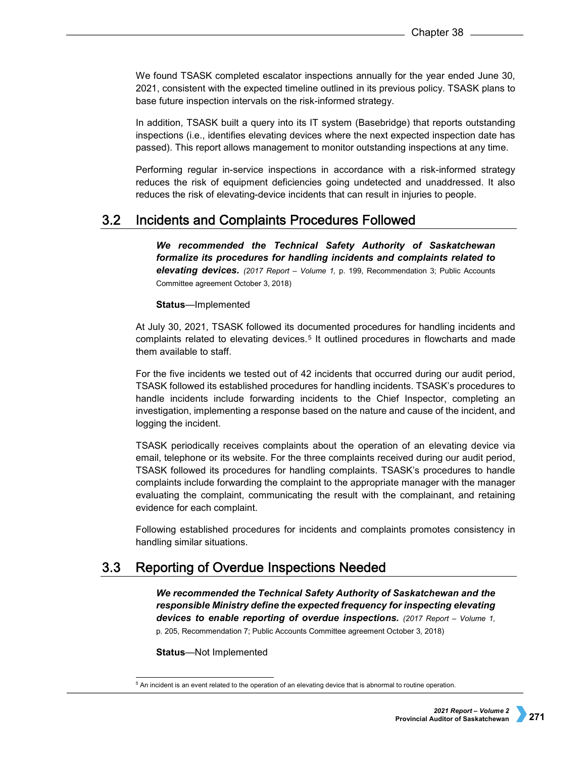We found TSASK completed escalator inspections annually for the year ended June 30, 2021, consistent with the expected timeline outlined in its previous policy. TSASK plans to base future inspection intervals on the risk-informed strategy.

In addition, TSASK built a query into its IT system (Basebridge) that reports outstanding inspections (i.e., identifies elevating devices where the next expected inspection date has passed). This report allows management to monitor outstanding inspections at any time.

Performing regular in-service inspections in accordance with a risk-informed strategy reduces the risk of equipment deficiencies going undetected and unaddressed. It also reduces the risk of elevating-device incidents that can result in injuries to people.

#### **Incidents and Complaints Procedures Followed**  $3.2$

*We recommended the Technical Safety Authority of Saskatchewan formalize its procedures for handling incidents and complaints related to elevating devices. (2017 Report – Volume 1,* p. 199, Recommendation 3; Public Accounts Committee agreement October 3, 2018)

**Status**—Implemented

At July 30, 2021, TSASK followed its documented procedures for handling incidents and complaints related to elevating devices.[5](#page-2-0) It outlined procedures in flowcharts and made them available to staff.

For the five incidents we tested out of 42 incidents that occurred during our audit period, TSASK followed its established procedures for handling incidents. TSASK's procedures to handle incidents include forwarding incidents to the Chief Inspector, completing an investigation, implementing a response based on the nature and cause of the incident, and logging the incident.

TSASK periodically receives complaints about the operation of an elevating device via email, telephone or its website. For the three complaints received during our audit period, TSASK followed its procedures for handling complaints. TSASK's procedures to handle complaints include forwarding the complaint to the appropriate manager with the manager evaluating the complaint, communicating the result with the complainant, and retaining evidence for each complaint.

Following established procedures for incidents and complaints promotes consistency in handling similar situations.

#### $3.3<sub>1</sub>$ Reporting of Overdue Inspections Needed

*We recommended the Technical Safety Authority of Saskatchewan and the responsible Ministry define the expected frequency for inspecting elevating devices to enable reporting of overdue inspections. (2017 Report – Volume 1,*  p. 205, Recommendation 7; Public Accounts Committee agreement October 3, 2018)

**Status**—Not Implemented

<span id="page-2-0"></span> <sup>5</sup> An incident is an event related to the operation of an elevating device that is abnormal to routine operation.